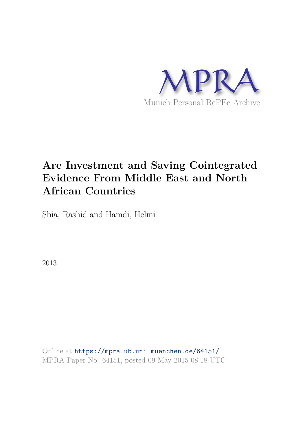

# **Are Investment and Saving Cointegrated Evidence From Middle East and North African Countries**

Sbia, Rashid and Hamdi, Helmi

2013

Online at https://mpra.ub.uni-muenchen.de/64151/ MPRA Paper No. 64151, posted 09 May 2015 08:18 UTC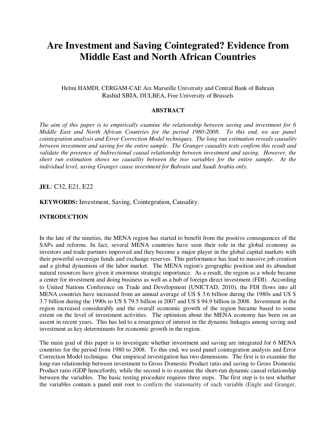# **Are Investment and Saving Cointegrated? Evidence from Middle East and North African Countries**

# Helmi HAMDI, CERGAM-CAE Aix Marseille University and Central Bank of Bahrain Rashid SBIA, DULBEA, Free University of Brussels

#### **ABSTRACT**

*The aim of this paper is to empirically examine the relationship between saving and investment for 6 Middle East and North African Countries for the period 1980-2008. To this end, we use panel cointegration analysis and Error Correction Model techniques. The long run estimation reveals causality between investment and saving for the entire sample. The Granger causality tests confirm this result and validate the presence of bidirectional causal relationship between investment and saving. However, the short run estimation shows no causality between the two variables for the entire sample. At the individual level, saving Granger cause investment for Bahrain and Saudi Arabia only.* 

**JEL**: C32, E21, E22

#### **KEYWORDS:** Investment, Saving, Cointegration, Causality.

#### **INTRODUCTION**

In the late of the nineties, the MENA region has started to benefit from the positive consequences of the SAPs and reforms. In fact, several MENA countries have seen their role in the global economy as investors and trade partners improved and they become a major player in the global capital markets with their powerful sovereign funds and exchange reserves. This performance has lead to massive job creation and a global dynamism of the labor market. The MENA region's geographic position and its abundant natural resources have given it enormous strategic importance. As a result, the region as a whole became a center for investment and doing business as well as a hub of foreign direct investment (FDI). According to United Nations Conference on Trade and Development (UNICTAD, 2010), the FDI flows into all MENA countries have increased from an annual average of US \$ 3.6 billion during the 1980s and US \$ 3.7 billion during the 1990s to US \$ 79.5 billion in 2007 and US \$ 94.9 billion in 2008. Investment in the region increased considerably and the overall economic growth of the region became based to some extent on the level of investment activities. The optimism about the MENA economy has been on an ascent in recent years. This has led to a resurgence of interest in the dynamic linkages among saving and investment as key determinants for economic growth in the region.

The main goal of this paper is to investigate whether investment and saving are integrated for 6 MENA countries for the period from 1980 to 2008. To this end, we used panel cointegration analysis and Error Correction Model technique. Our empirical investigation has two dimensions. The first is to examine the long-run relationship between investment to Gross Domestic Product ratio and saving to Gross Domestic Product ratio (GDP henceforth), while the second is to examine the short-run dynamic causal relationship between the variables. The basic testing procedure requires three steps. The first step is to test whether the variables contain a panel unit root to confirm the stationarity of each variable (Engle and Granger,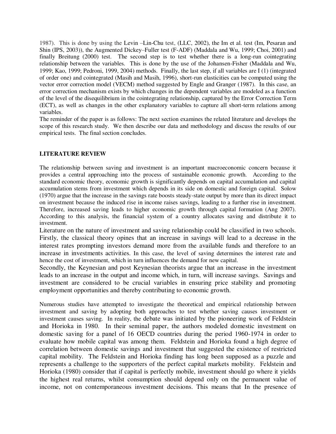1987). This is done by using the Levin –Lin-Chu test, (LLC, 2002), the Im et al. test (Im, Pesaran and Shin (IPS, 2003)), the Augmented Dickey–Fuller test (F-ADF) (Maddala and Wu, 1999; Choi, 2001) and finally Breitung (2000) test. The second step is to test whether there is a long-run cointegrating relationship between the variables. This is done by the use of the Johansen-Fisher (Maddala and Wu, 1999; Kao, 1999; Pedroni, 1999, 2004) methods. Finally, the last step, if all variables are I (1) (integrated of order one) and cointegrated (Masih and Masih, 1996), short-run elasticities can be computed using the vector error correction model (VECM) method suggested by Engle and Granger (1987). In this case, an error correction mechanism exists by which changes in the dependent variables are modeled as a function of the level of the disequilibrium in the cointegrating relationship, captured by the Error Correction Term (ECT), as well as changes in the other explanatory variables to capture all short-term relations among variables.

The reminder of the paper is as follows: The next section examines the related literature and develops the scope of this research study. We then describe our data and methodology and discuss the results of our empirical tests. The final section concludes.

# **LITERATURE REVIEW**

The relationship between saving and investment is an important macroeconomic concern because it provides a central approaching into the process of sustainable economic growth. According to the standard economic theory, economic growth is significantly depends on capital accumulation and capital accumulation stems from investment which depends in its side on domestic and foreign capital. Solow (1970) argue that the increase in the savings rate boosts steady-state output by more than its direct impact on investment because the induced rise in income raises savings, leading to a further rise in investment. Therefore, increased saving leads to higher economic growth through capital formation (Ang 2007). According to this analysis, the financial system of a country allocates saving and distribute it to investment.

Literature on the nature of investment and saving relationship could be classified in two schools. Firstly, the classical theory opines that an increase in savings will lead to a decrease in the interest rates prompting investors demand more from the available funds and therefore to an increase in investments activities. In this case, the level of saving determines the interest rate and hence the cost of investment, which in turn influences the demand for new capital.

Secondly, the Keynesian and post Keynesian theorists argue that an increase in the investment leads to an increase in the output and income which, in turn, will increase savings. Savings and investment are considered to be crucial variables in ensuring price stability and promoting employment opportunities and thereby contributing to economic growth.

Numerous studies have attempted to investigate the theoretical and empirical relationship between investment and saving by adopting both approaches to test whether saving causes investment or investment causes saving. In reality, the debate was initiated by the pioneering work of Feldstein and Horioka in 1980. In their seminal paper, the authors modeled domestic investment on domestic saving for a panel of 16 OECD countries during the period 1960-1974 in order to evaluate how mobile capital was among them. Feldstein and Horioka found a high degree of correlation between domestic savings and investment that suggested the existence of restricted capital mobility. The Feldstein and Horioka finding has long been supposed as a puzzle and represents a challenge to the supporters of the perfect capital markets mobility. Feldstein and Horioka (1980) consider that if capital is perfectly mobile, investment should go where it yields the highest real returns, whilst consumption should depend only on the permanent value of income, not on contemporaneous investment decisions. This means that In the presence of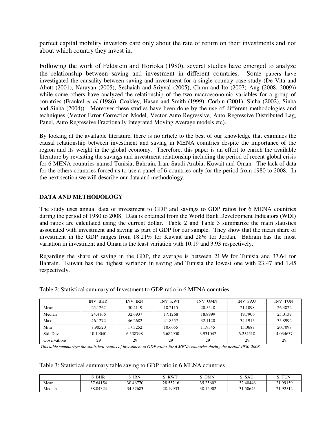perfect capital mobility investors care only about the rate of return on their investments and not about which country they invest in.

Following the work of Feldstein and Horioka (1980), several studies have emerged to analyze the relationship between saving and investment in different countries. Some papers have investigated the causality between saving and investment for a single country case study (De Vita and Abott (2001), Narayan (2005), Seshaiah and Sriyval (2005), Chinn and Ito (2007) Ang (2008, 2009)) while some others have analyzed the relationship of the two macroeconomic variables for a group of countries (Frankel *et al* (1986), Coakley, Hasan and Smith (1999), Corbin (2001), Sinha (2002), Sinha and Sinha (2004)). Moreover these studies have been done by the use of different methodologies and techniques (Vector Error Correction Model, Vector Auto Regressive, Auto Regressive Distributed Lag, Panel, Auto Regressive Fractionally Integrated Moving Average models etc).

By looking at the available literature, there is no article to the best of our knowledge that examines the causal relationship between investment and saving in MENA countries despite the importance of the region and its weight in the global economy. Therefore, this paper is an effort to enrich the available literature by revisiting the savings and investment relationship including the period of recent global crisis for 6 MENA countries named Tunisia, Bahrain, Iran, Saudi Arabia, Kuwait and Oman. The lack of data for the others countries forced us to use a panel of 6 countries only for the period from 1980 to 2008. In the next section we will describe our data and methodology.

# **DATA AND METHODOLOGY**

The study uses annual data of investment to GDP and savings to GDP ratios for 6 MENA countries during the period of 1980 to 2008. Data is obtained from the World Bank Development Indicators (WDI) and ratios are calculated using the current dollar. Table 2 and Table 3 summarize the main statistics associated with investment and saving as part of GDP for our sample. They show that the mean share of investment in the GDP ranges from 18.21% for Kuwait and 28% for Jordan. Bahrain has the most variation in investment and Oman is the least variation with 10.19 and 3.93 respectively.

Regarding the share of saving in the GDP, the average is between 21.99 for Tunisia and 37.64 for Bahrain. Kuwait has the highest variation in saving and Tunisia the lowest one with 23.47 and 1.45 respectively.

|                     | <b>INV BHR</b> | <b>INV IRN</b> | <b>INV KWT</b> | INV OMN  | <b>INV SAU</b> | <b>INV TUN</b> |
|---------------------|----------------|----------------|----------------|----------|----------------|----------------|
| Mean                | 25.1267        | 30.4119        | 18.2115        | 20.5548  | 21.1098        | 26.3822        |
| Median              | 24.4166        | 32.6937        | 17.1268        | 18.8999  | 19.7906        | 25.0137        |
| Maxi                | 46.1272        | 46.2682        | 41.8557        | 32.1120  | 34.1915        | 35.8992        |
| Mini                | 7.90520        | 17.3252        | 10.6655        | 11.9345  | 15.0687        | 20.7098        |
| Std. Dev.           | 10.19040       | 6.538798       | 5.682950       | 3.931047 | 6.254518       | 4.034637       |
| <b>Observations</b> | 29             | 29             | 29             | 29       | 29             | 29             |

Table 2: Statistical summary of Investment to GDP ratio in 6 MENA countries

 *This table summarizes the statistical results of investment to GDP ratios for 6 MENA countries during the period 1980-2008.* 

Table 3: Statistical summary table saving to GDP ratio in 6 MENA countries

|        | <b>BHR</b> | <b>IRN</b> | KWT      | <b>OMN</b> | SAU<br>ر | TUN      |
|--------|------------|------------|----------|------------|----------|----------|
| Mean   | 37.64154   | 30.46770   | 28.55216 | 35.25602   | 32.40446 | 21.99159 |
| Median | 38.04324   | 34.57683   | 28.19933 | 38.12902   | 31.50645 | 21.92512 |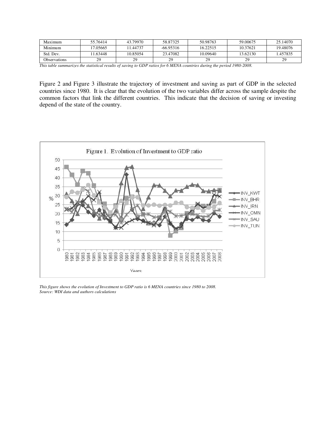| Maximum             | 55.76414 | 43.79970 | 58.87325    | 50.98763 | 59.00675 | 25.14070 |
|---------------------|----------|----------|-------------|----------|----------|----------|
| Minimum             | 17.05665 | 11.44737 | $-66.95316$ | 16.22515 | 10.37621 | 19.48076 |
| Std. Dev.           | 1.63448  | 10.85054 | 23.47082    | 10.09640 | 13.62130 | 1.457835 |
| <b>Observations</b> | 29       | 20       | 29          | 29       | 20       | 29       |

*This table summarizes the statistical results of saving to GDP ratios for 6 MENA countries during the period 1980-2008.* 

Figure 2 and Figure 3 illustrate the trajectory of investment and saving as part of GDP in the selected countries since 1980. It is clear that the evolution of the two variables differ across the sample despite the common factors that link the different countries. This indicate that the decision of saving or investing depend of the state of the country.



*This figure shows the evolution of Investment to GDP ratio is 6 MENA countries since 1980 to 2008. Source: WDI data and authors calculations*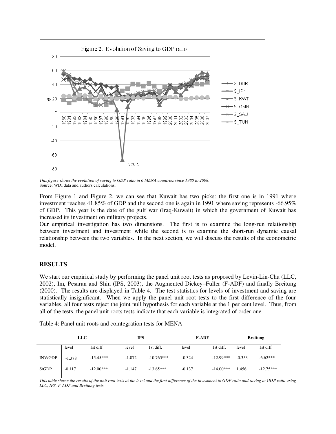

*This figure shows the evolution of saving to GDP ratio in 6 MENA countries since 1980 to 2008.*  Source: WDI data and authors calculations.

From Figure 1 and Figure 2, we can see that Kuwait has two picks: the first one is in 1991 where investment reaches 41.85% of GDP and the second one is again in 1991 where saving represents -66.95% of GDP. This year is the date of the gulf war (Iraq-Kuwait) in which the government of Kuwait has increased its investment on military projects.

Our empirical investigation has two dimensions. The first is to examine the long-run relationship between investment and investment while the second is to examine the short-run dynamic causal relationship between the two variables. In the next section, we will discuss the results of the econometric model.

# **RESULTS**

We start our empirical study by performing the panel unit root tests as proposed by Levin-Lin-Chu (LLC, 2002), Im, Pesaran and Shin (IPS, 2003), the Augmented Dickey–Fuller (F-ADF) and finally Breitung (2000). The results are displayed in Table 4. The test statistics for levels of investment and saving are statistically insignificant. When we apply the panel unit root tests to the first difference of the four variables, all four tests reject the joint null hypothesis for each variable at the 1 per cent level. Thus, from all of the tests, the panel unit roots tests indicate that each variable is integrated of order one.

Table 4: Panel unit roots and cointegration tests for MENA

|         | <b>LLC</b> |             | <b>IPS</b> |              | <b>F-ADF</b> |             | <b>Breitung</b> |             |
|---------|------------|-------------|------------|--------------|--------------|-------------|-----------------|-------------|
|         | level      | 1st diff    | level      | 1st diff.    | level        | 1st diff,   | level           | 1st diff    |
| INV/GDP | $-1.378$   | $-15.45***$ | $-1.072$   | $-10.765***$ | $-0.324$     | $-12.99***$ | $-0.353$        | $-6.62***$  |
| S/GDP   | $-0.117$   | $-12.00***$ | $-1.147$   | $-13.65***$  | $-0.137$     | $-14.00***$ | 1.456           | $-12.75***$ |

*This table shows the results of the unit root tests at the level and the first difference of the investment to GDP ratio and saving to GDP ratio using LLC, IPS, F-ADF and Breitung tests.*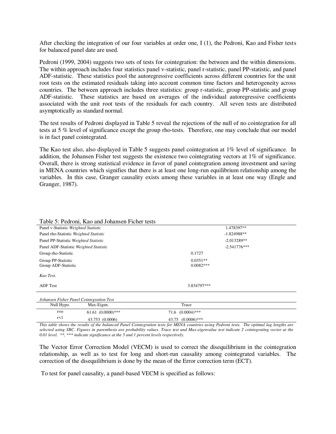After checking the integration of our four variables at order one, I (1), the Pedroni, Kao and Fisher tests for balanced panel date are used.

Pedroni (1999, 2004) suggests two sets of tests for cointegration: the between and the within dimensions. The within approach includes four statistics panel v-statistic, panel r-statistic, panel PP-statistic, and panel ADF-statistic. These statistics pool the autoregressive coefficients across different countries for the unit root tests on the estimated residuals taking into account common time factors and heterogeneity across countries. The between approach includes three statistics: group r-statistic, group PP-statistic and group ADF-statistic. These statistics are based on averages of the individual autoregressive coefficients associated with the unit root tests of the residuals for each country. All seven tests are distributed asymptotically as standard normal.

The test results of Pedroni displayed in Table 5 reveal the rejections of the null of no cointegration for all tests at 5 % level of significance except the group rho-tests. Therefore, one may conclude that our model is in fact panel cointegrated.

The Kao test also, also displayed in Table 5 suggests panel cointegration at 1% level of significance. In addition, the Johansen Fisher test suggests the existence two cointegrating vectors at 1% of significance. Overall, there is strong statistical evidence in favor of panel cointegration among investment and saving in MENA countries which signifies that there is at least one long-run equilibrium relationship among the variables. In this case, Granger causality exists among these variables in at least one way (Engle and Granger, 1987).

| Table 5: Pedroni, Kao and Johansen Ficher tests |                           |
|-------------------------------------------------|---------------------------|
| Panel v-Statistic Weighted Statistic            | 1.478397**                |
| Panel rho-Statistic Weighted Statistic          | $-1.824988**$             |
| Panel PP-Statistic Weighted Statistic           | $-2.013289**$             |
| Panel ADF-Statistic Weighted Statistic          | $-2.541776***$            |
| Group rho-Statistic                             | 0.1727                    |
| Group PP-Statistic<br>Group ADF-Statistic       | $0.0351**$<br>$0.0082***$ |
| Kao Test.                                       |                           |
| <b>ADF</b> Test                                 | 3.834797***               |
| Johansen Fisher Panel Cointegration Test        |                           |

| Johansen Fisher Panel Cointegration Test |                      |                        |  |
|------------------------------------------|----------------------|------------------------|--|
| Null Hypo.                               | Max-Eigen.           | Trace                  |  |
| $r = 0$                                  | $61.61 (0.0000)$ *** | $71.6$ $(0.0004)$ ***  |  |
| r<1                                      | 43.753 (0.0006)      | $43.75$ $(0.0006)$ *** |  |
|                                          |                      |                        |  |

*This table shows the results of the balanced Panel Cointegration tests for MENA countries using Pedroni tests. The optimal lag lengths are selected using SBC. Figures in parenthesis are probability values. Trace test and Max-eigenvalue test indicate 2 cointegrating vector at the 0.01 level. \*\*, \*\*\* indicate significance at the 5 and 1 percent levels respectively.* 

The Vector Error Correction Model (VECM) is used to correct the disequilibrium in the cointegration relationship, as well as to test for long and short-run causality among cointegrated variables. The correction of the disequilibrium is done by the mean of the Error correction term (ECT).

To test for panel causality, a panel-based VECM is specified as follows: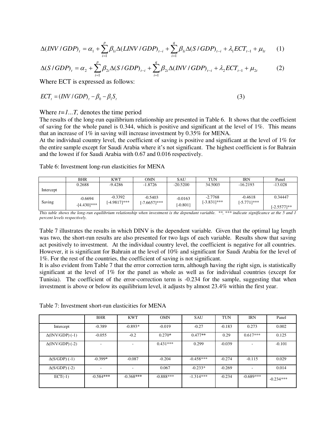$$
\Delta (INV / GDP)_{t} = \alpha_1 + \sum_{i=1}^{p} \beta_{1i} \Delta (LINV / GDP)_{t-i} + \sum_{i=1}^{q} \beta_{1i} \Delta (S / GDP)_{t-i} + \lambda_1 ECT_{t-1} + \mu_{1t} \tag{1}
$$

$$
\Delta(S/GDP)_t = \alpha_2 + \sum_{i=1}^p \beta_{2i} \Delta(S/GDP)_{t-i} + \sum_{i=1}^q \beta_{2i} \Delta(INV/GDP)_{t-i} + \lambda_2 ECT_{t-1} + \mu_{2t}
$$
 (2)

Where ECT is expressed as follows:

$$
ECTt = (INV / GDP)t - \beta_0 - \beta_1 S_t
$$
 (3)

#### Where  $t=1...T$ , denotes the time period

The results of the long-run equilibrium relationship are presented in Table 6. It shows that the coefficient of saving for the whole panel is 0.344, which is positive and significant at the level of 1%. This means that an increase of 1% in saving will increase investment by 0.35% for MENA.

At the individual country level, the coefficient of saving is positive and significant at the level of 1% for the entire sample except for Saudi Arabia where it's not significant. The highest coefficient is for Bahrain and the lowest if for Saudi Arabia with 0.67 and 0.016 respectively.

Table 6: Investment long-run elasticities for MENA

|           | <b>BHR</b>                  | <b>KWT</b>                   | <b>OMN</b>                | SAU                     | <b>TUN</b>                  | <b>IRN</b>                  | Panel                     |
|-----------|-----------------------------|------------------------------|---------------------------|-------------------------|-----------------------------|-----------------------------|---------------------------|
|           | 0.2688                      | $-9.4286$                    | $-1.8726$                 | $-20.5200$              | 34.5003                     | $-16.2193$                  | $-13.028$                 |
| Intercept |                             |                              |                           |                         |                             |                             |                           |
| Saving    | $-0.6694$<br>$-[4.430]$ *** | $-0.3392$<br>$[-4.9817]$ *** | $-0.5403$<br>[-7.6657]*** | $-0.0163$<br>$[-0.801]$ | $-2.7768$<br>$[-3.831]$ *** | $-0.4618$<br>$[-5.771]$ *** | 0.34447<br>$[-2.5577]$ ** |

*This table shows the long-run equilibrium relationship when investment is the dependant variable. \*\*, \*\*\* indicate significance at the 5 and 1 percent levels respectively.* 

Table 7 illustrates the results in which DINV is the dependent variable. Given that the optimal lag length was two, the short-run results are also presented for two lags of each variable. Results show that saving act positively to investment. At the individual country level, the coefficient is negative for all countries. However, it is significant for Bahrain at the level of 10% and significant for Saudi Arabia for the level of 1%. For the rest of the countries, the coefficient of saving is not significant.

It is also evident from Table 7 that the error correction term, although having the right sign, is statistically significant at the level of 1% for the panel as whole as well as for individual countries (except for Tunisia). The coefficient of the error-correction term is -0.234 for the sample, suggesting that when investment is above or below its equilibrium level, it adjusts by almost 23.4% within the first year.

|                         | <b>BHR</b>               | <b>KWT</b>  | <b>OMN</b>  | <b>SAU</b>  | <b>TUN</b> | <b>IRN</b>  | Panel       |
|-------------------------|--------------------------|-------------|-------------|-------------|------------|-------------|-------------|
| Intercept               | $-0.389$                 | $-0.893*$   | $-0.019$    | $-0.27$     | $-0.183$   | 0.273       | 0.002       |
| $\Delta$ (INV/GDP) (-1) | $-0.055$                 | $-0.2$      | $0.270*$    | $0.477**$   | 0.29       | $0.617***$  | 0.125       |
| $\Delta$ (INV/GDP) (-2) | $\overline{\phantom{a}}$ |             | $0.431***$  | 0.299       | $-0.039$   | ۰           | $-0.101$    |
| $\Delta(S/GDP)$ (-1)    | $-0.399*$                | $-0.087$    | $-0.204$    | $-0.458***$ | $-0.274$   | $-0.115$    | 0.029       |
| $\Delta(S/GDP)$ (-2)    |                          |             | 0.067       | $-0.233*$   | $-0.269$   |             | 0.014       |
| $ECT(-1)$               | $-0.584***$              | $-0.368***$ | $-0.888***$ | $-1.314***$ | $-0.234$   | $-0.689***$ | $-0.234***$ |

Table 7: Investment short-run elasticities for MENA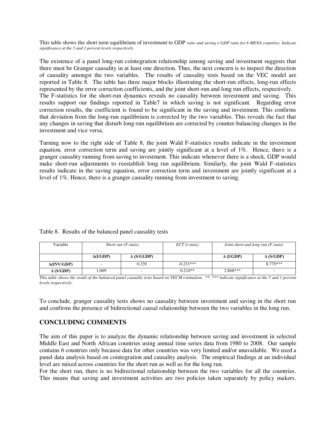This table shows the short term equilibrium of investment to GDP *ratio and saving o GDP ratio for 6 MENA countries. Indicate significance at the 5 and 1 percent levels respectively.* 

The existence of a panel long-run cointegration relationship among saving and investment suggests that there must be Granger causality in at least one direction. Thus, the next concern is to inspect the direction of causality amongst the two variables. The results of causality tests based on the VEC model are reported in Table 8. The table has three major blocks illustrating the short-run effects, long-run effects represented by the error correction coefficients, and the joint short-run and long run effects, respectively. The F-statistics for the short-run dynamics reveals no causality between investment and saving. This results support our findings reported in Table7 in which saving is not significant. Regarding error correction results, the coefficient is found to be significant in the saving and investment. This confirms that deviation from the long-run equilibrium is corrected by the two variables. This reveals the fact that any changes in saving that disturb long-run equilibrium are corrected by counter-balancing changes in the investment and vice versa.

Turning now to the right side of Table 8, the joint Wald F-statistics results indicate in the investment equation, error correction term and saving are jointly significant at a level of 1%. Hence, there is a granger causality running from saving to investment. This indicate whenever there is a shock, GDP would make short-run adjustments to reestablish long run equilibrium. Similarly, the joint Wald F-statistics results indicate in the saving equation, error correction term and investment are jointly significant at a level of 1%. Hence, there is a granger causality running from investment to saving.

| Table 8. Results of the balanced panel causality tests |
|--------------------------------------------------------|
|--------------------------------------------------------|

| Variable           | Short run $(F-stats)$ |                   | $ECT(t-stats)$ |                  | Joint short and long run (F-stats) |
|--------------------|-----------------------|-------------------|----------------|------------------|------------------------------------|
|                    | $\Delta(I/GDP)$       | $\Delta$ (S/GGDP) |                | $\Delta$ (I/GDP) | $\Delta$ (S/GDP)                   |
| $\Delta$ (INV/GDP) |                       | 0.239             | $-0.233***$    | -                | 8.779***                           |
| $\Delta$ (S/GDP)   | L.009                 |                   | $0.210**$      | 2.868***         | $\overline{\phantom{0}}$           |

*This table shows the result of the balanced panel causality tests based on VECM estimation. \*\*, \*\*\* indicate significance at the 5 and 1 percent levels respectively.* 

To conclude, granger causality tests shows no causality between investment and saving in the short run and confirms the presence of bidirectional causal relationship between the two variables in the long run.

# **CONCLUDING COMMENTS**

The aim of this paper is to analyze the dynamic relationship between saving and investment in selected Middle East and North African countries using annual time series data from 1980 to 2008. Our sample contains 6 countries only because data for other countries was very limited and/or unavailable. We used a panel data analysis based on cointegration and causality analysis. The empirical findings at an individual level are mixed across countries for the short run as well as for the long run.

For the short run, there is no bidirectional relationship between the two variables for all the countries. This means that saving and investment activities are two policies taken separately by policy makers.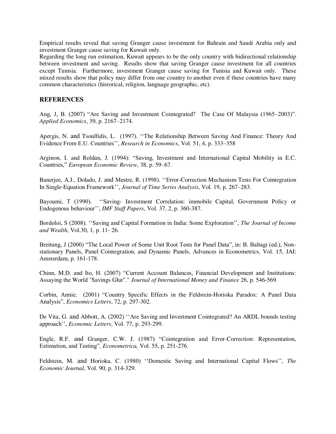Empirical results reveal that saving Granger cause investment for Bahrain and Saudi Arabia only and investment Granger cause saving for Kuwait only.

Regarding the long run estimation, Kuwait appears to be the only country with bidirectional relationship between investment and saving. Results show that saving Granger cause investment for all countries except Tunisia. Furthermore, investment Granger cause saving for Tunisia and Kuwait only. These mixed results show that policy may differ from one country to another even if these countries have many common characteristics (historical, religion, language geographic, etc).

# **REFERENCES**

Ang, J, B. (2007) "Are Saving and Investment Cointegrated? The Case Of Malaysia (1965–2003)". *Applied Economics*, 39, p. 2167–2174.

Apergis, N. and Tsoulfidis, L. (1997). ''The Relationship Between Saving And Finance: Theory And Evidence From E.U. Countries'', *Research in Economics*, Vol. 51, 4, p. 333–358

Arginon, I. and Roldan, J. (1994): "Saving, Investment and International Capital Mobility in E.C. Countries," *European Economic Review*, 38, p. 59–67.

Banerjee, A.J., Dolado, J. and Mestre, R. (1998). ''Error-Correction Mechanism Tests For Cointegration In Single-Equation Framework'', *Journal of Time Series Analysis*, Vol. 19, p. 267–283.

Bayoumi, T (1990). ''Saving- Investment Correlation: immobile Capital, Government Policy or Endogenous behaviour'', *IMF Staff Papers*, Vol. 37, 2, p. 360-387.

Bordoloi, S (2008). ''Saving and Capital Formation in India: Some Exploration'', *The Journal of Income and Wealth*, Vol.30, 1, p. 11- 26.

Breitung, J (2000) "The Local Power of Some Unit Root Tests for Panel Data", in: B. Baltagi (ed.), Nonstationary Panels, Panel Cointegration, and Dynamic Panels, Advances in Econometrics, Vol. 15, JAI: Amsterdam, p. 161-178.

Chinn, M.D. and Ito, H. (2007) "Current Account Balances, Financial Development and Institutions: Assaying the World "Savings Glut"." *Journal of International Money and Finance* 26, p. 546-569.

Corbin, Annie. (2001) "Country Specific Effects in the Feldstein-Horioka Paradox: A Panel Data Analysis", *Economics Letters*, 72, p. 297-302.

De Vita, G. and Abbott, A. (2002) ''Are Saving and Investment Cointegrated? An ARDL bounds testing approach'', *Economic Letters*, Vol. 77, p. 293-299.

Engle, R.F. and Granger, C.W. J. (1987) "Cointegration and Error-Correction: Representation, Estimation, and Testing"*, Econometrica,* Vol. 55, p. 251-276.

Feldstein, M. and Horioka, C. (1980) ''Domestic Saving and International Capital Flows'', *The Economic Journal*, Vol. 90, p. 314-329.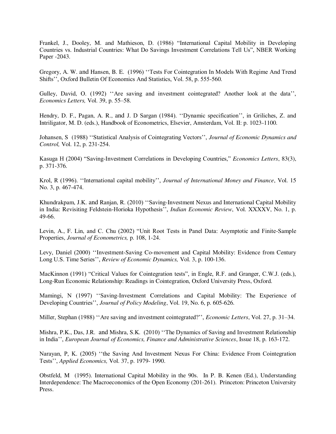Frankel, J., Dooley, M. and Mathieson, D. (1986) "International Capital Mobility in Developing Countries vs. Industrial Countries: What Do Savings Investment Correlations Tell Us", NBER Working Paper -2043.

Gregory, A. W. and Hansen, B. E. (1996) ''Tests For Cointegration In Models With Regime And Trend Shifts'', Oxford Bulletin Of Economics And Statistics, Vol. 58, p. 555-560.

Gulley, David, O. (1992) "Are saving and investment cointegrated? Another look at the data", *Economics Letters,* Vol. 39, p. 55–58.

Hendry, D. F., Pagan, A. R., and J. D Sargan (1984). ''Dynamic specification'', in Griliches, Z. and Intriligator, M. D. (eds.), Handbook of Econometrics, Elsevier, Amsterdam, Vol. II: p. 1023-1100.

Johansen, S (1988) ''Statistical Analysis of Cointegrating Vectors'', *Journal of Economic Dynamics and Control,* Vol. 12, p. 231-254.

Kasuga H (2004) "Saving-Investment Correlations in Developing Countries," *Economics Letters*, 83(3), p. 371-376.

Krol, R (1996). ''International capital mobility'', *Journal of International Money and Finance*, Vol. 15 No. 3, p. 467-474.

Khundrakpam, J.K. and Ranjan, R. (2010) ''Saving-Investment Nexus and International Capital Mobility in India: Revisiting Feldstein-Horioka Hypothesis'', *Indian Economic Review*, Vol. XXXXV, No. 1, p. 49-66.

Levin, A., F. Lin, and C. Chu (2002) "Unit Root Tests in Panel Data: Asymptotic and Finite-Sample Properties, *Journal of Econometrics,* p. 108, 1-24.

Levy, Daniel (2000) ''Investment-Saving Co-movement and Capital Mobility: Evidence from Century Long U.S. Time Series'', *Review of Economic Dynamics,* Vol. 3, p. 100-136.

MacKinnon (1991) "Critical Values for Cointegration tests", in Engle, R.F. and Granger, C.W.J. (eds.), Long-Run Economic Relationship: Readings in Cointegration, Oxford University Press, Oxford.

Mamingi, N (1997) ''Saving-Investment Correlations and Capital Mobility: The Experience of Developing Countries'', *Journal of Policy Modeling*, Vol. 19, No. 6, p. 605-626.

Miller, Stephan (1988) ''Are saving and investment cointegrated?'', *Economic Letters*, Vol. 27, p. 31–34.

Mishra, P.K., Das, J.R. and Mishra, S.K. (2010) ''The Dynamics of Saving and Investment Relationship in India'', *European Journal of Economics, Finance and Administrative Sciences*, Issue 18, p. 163-172.

Narayan, P, K. (2005) ''the Saving And Investment Nexus For China: Evidence From Cointegration Tests'', *Applied Economics,* Vol. 37, p. 1979- 1990.

Obstfeld, M (1995). International Capital Mobility in the 90s. In P. B. Kenen (Ed.), Understanding Interdependence: The Macroeconomics of the Open Economy (201-261). Princeton: Princeton University Press.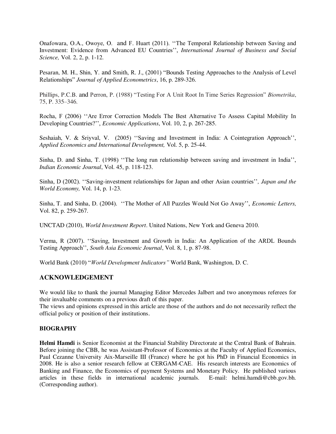Onafowara, O.A., Owoye, O. and F. Huart (2011). ''The Temporal Relationship between Saving and Investment: Evidence from Advanced EU Countries'', *International Journal of Business and Social Science,* Vol. 2, 2, p. 1-12.

Pesaran, M. H., Shin, Y. and Smith, R. J., (2001) "Bounds Testing Approaches to the Analysis of Level Relationships" *Journal of Applied Econometrics*, 16, p. 289-326.

Phillips, P.C.B. and Perron, P. (1988) "Testing For A Unit Root In Time Series Regression" *Biometrika*, 75, P. 335–346.

Rocha, F (2006) ''Are Error Correction Models The Best Alternative To Assess Capital Mobility In Developing Countries?'', *Economic Applications*, Vol. 10, 2, p. 267-285.

Seshaiah, V. & Sriyval, V. (2005) ''Saving and Investment in India: A Cointegration Approach'', *Applied Economics and International Development,* Vol. 5, p. 25-44.

Sinha, D. and Sinha, T. (1998) ''The long run relationship between saving and investment in India'', *Indian Economic Journal*, Vol. 45, p. 118-123.

Sinha, D (2002). ''Saving-investment relationships for Japan and other Asian countries''*, Japan and the World Economy,* Vol. 14, p. 1-23.

Sinha, T. and Sinha, D. (2004). ''The Mother of All Puzzles Would Not Go Away'', *Economic Letters,* Vol. 82, p. 259-267.

UNCTAD (2010), *World Investment Report*. United Nations, New York and Geneva 2010.

Verma, R (2007). ''Saving, Investment and Growth in India: An Application of the ARDL Bounds Testing Approach'', *South Asia Economic Journal*, Vol. 8, 1, p. 87-98.

World Bank (2010) "*World Development Indicators"* World Bank, Washington, D. C.

# **ACKNOWLEDGEMENT**

We would like to thank the journal Managing Editor Mercedes Jalbert and two anonymous referees for their invaluable comments on a previous draft of this paper.

The views and opinions expressed in this article are those of the authors and do not necessarily reflect the official policy or position of their institutions.

# **BIOGRAPHY**

**Helmi Hamdi** is Senior Economist at the Financial Stability Directorate at the Central Bank of Bahrain. Before joining the CBB, he was Assistant-Professor of Economics at the Faculty of Applied Economics, Paul Cezanne University Aix-Marseille III (France) where he got his PhD in Financial Economics in 2008. He is also a senior research fellow at CERGAM-CAE. His research interests are Economics of Banking and Finance, the Economics of payment Systems and Monetary Policy. He published various articles in these fields in international academic journals. E-mail: helmi.hamdi@cbb.gov.bh. (Corresponding author).